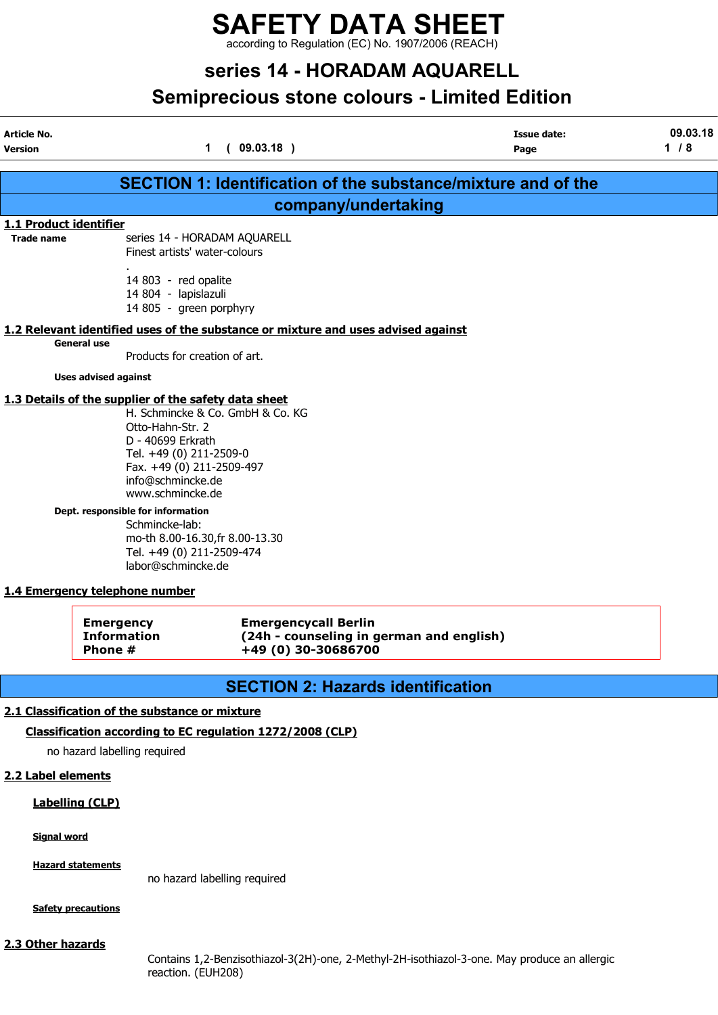## SAFETY DATA SHEET according to Regulation (EC) No. 1907/2006 (REACH)

# series 14 - HORADAM AQUARELL

# Semiprecious stone colours - Limited Edition

| Article No.<br>Version                             |                                                                                                                                                                                                                                                                                          | 1(09.03.18)                                        | <b>Issue date:</b><br>Page                                                        | 09.03.18<br>1/8 |
|----------------------------------------------------|------------------------------------------------------------------------------------------------------------------------------------------------------------------------------------------------------------------------------------------------------------------------------------------|----------------------------------------------------|-----------------------------------------------------------------------------------|-----------------|
|                                                    |                                                                                                                                                                                                                                                                                          |                                                    |                                                                                   |                 |
|                                                    |                                                                                                                                                                                                                                                                                          |                                                    | <b>SECTION 1: Identification of the substance/mixture and of the</b>              |                 |
|                                                    |                                                                                                                                                                                                                                                                                          |                                                    | company/undertaking                                                               |                 |
| <b>1.1 Product identifier</b><br><b>Trade name</b> | series 14 - HORADAM AQUARELL<br>Finest artists' water-colours                                                                                                                                                                                                                            |                                                    |                                                                                   |                 |
|                                                    | 14 803 - red opalite<br>14 804 - lapislazuli<br>14 805 - green porphyry                                                                                                                                                                                                                  |                                                    |                                                                                   |                 |
|                                                    | <b>General use</b><br>Products for creation of art.                                                                                                                                                                                                                                      |                                                    | 1.2 Relevant identified uses of the substance or mixture and uses advised against |                 |
|                                                    | <b>Uses advised against</b>                                                                                                                                                                                                                                                              |                                                    |                                                                                   |                 |
|                                                    | 1.3 Details of the supplier of the safety data sheet<br>Otto-Hahn-Str. 2<br>D - 40699 Erkrath<br>Tel. +49 (0) 211-2509-0<br>Fax. +49 (0) 211-2509-497<br>info@schmincke.de<br>www.schmincke.de<br>Dept. responsible for information<br>Schmincke-lab:<br>mo-th 8.00-16.30, fr 8.00-13.30 | H. Schmincke & Co. GmbH & Co. KG                   |                                                                                   |                 |
|                                                    | Tel. +49 (0) 211-2509-474<br>labor@schmincke.de<br>1.4 Emergency telephone number                                                                                                                                                                                                        |                                                    |                                                                                   |                 |
|                                                    | <b>Emergency</b><br><b>Information</b><br>Phone #                                                                                                                                                                                                                                        | <b>Emergencycall Berlin</b><br>+49 (0) 30-30686700 | (24h - counseling in german and english)                                          |                 |
|                                                    |                                                                                                                                                                                                                                                                                          |                                                    | <b>SECTION 2: Hazards identification</b>                                          |                 |
|                                                    | 2.1 Classification of the substance or mixture                                                                                                                                                                                                                                           |                                                    |                                                                                   |                 |
|                                                    | Classification according to EC regulation 1272/2008 (CLP)                                                                                                                                                                                                                                |                                                    |                                                                                   |                 |
|                                                    | no hazard labelling required                                                                                                                                                                                                                                                             |                                                    |                                                                                   |                 |

2.2 Label elements

## Labelling (CLP)

Signal word

**Hazard statements** 

no hazard labelling required

**Safety precautions** 

## 2.3 Other hazards

Contains 1,2-Benzisothiazol-3(2H)-one, 2-Methyl-2H-isothiazol-3-one. May produce an allergic reaction. (EUH208)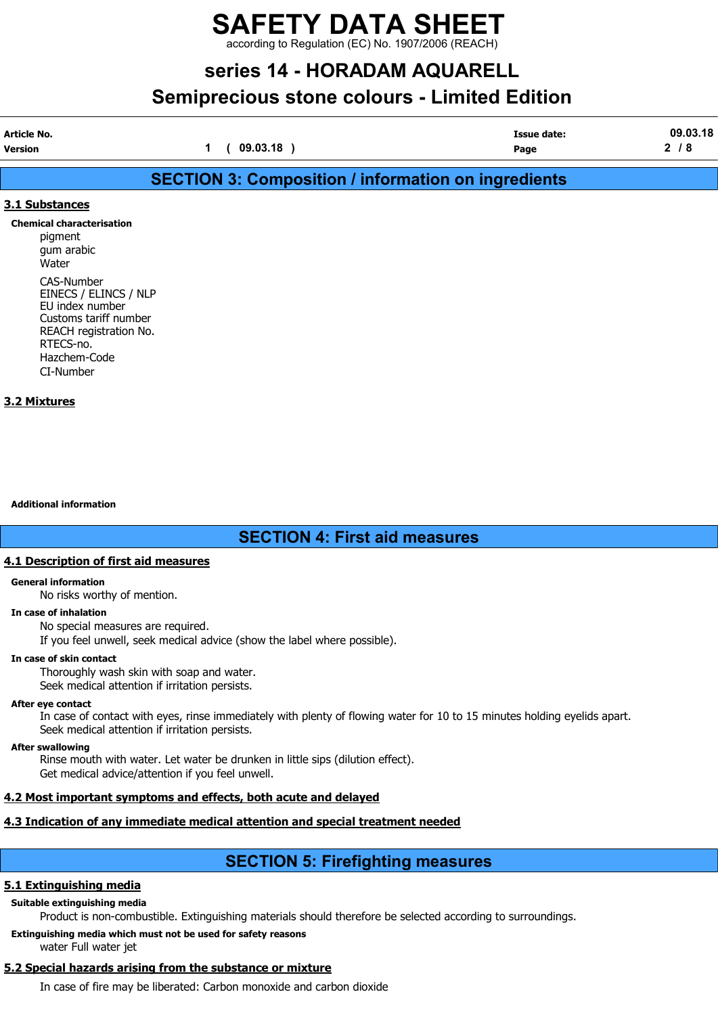## SAFETY DATA SHEET rding to Regulation (EC) No. 1907/2006 (REACH)

# series 14 - HORADAM AQUARELL

# Semiprecious stone colours - Limited Edition

| Article No. |          | Issue date: | .03.18<br>09 |
|-------------|----------|-------------|--------------|
| Version     | 09.03.18 | Page        | -<br>o       |

# SECTION 3: Composition / information on ingredients

## 3.1 Substances

Chemical characterisation pigment gum arabic Water CAS-Number EINECS / ELINCS / NLP EU index number Customs tariff number REACH registration No. RTECS-no. Hazchem-Code CI-Number

## 3.2 Mixtures

Additional information

## SECTION 4: First aid measures

## 4.1 Description of first aid measures

#### General information

No risks worthy of mention.

## In case of inhalation

No special measures are required.

If you feel unwell, seek medical advice (show the label where possible).

## In case of skin contact

Thoroughly wash skin with soap and water.

Seek medical attention if irritation persists.

## After eye contact

In case of contact with eyes, rinse immediately with plenty of flowing water for 10 to 15 minutes holding eyelids apart. Seek medical attention if irritation persists.

## After swallowing

Rinse mouth with water. Let water be drunken in little sips (dilution effect).

Get medical advice/attention if you feel unwell.

## 4.2 Most important symptoms and effects, both acute and delayed

## 4.3 Indication of any immediate medical attention and special treatment needed

## SECTION 5: Firefighting measures

## 5.1 Extinguishing media

## Suitable extinguishing media

Product is non-combustible. Extinguishing materials should therefore be selected according to surroundings.

## Extinguishing media which must not be used for safety reasons

water Full water jet

## 5.2 Special hazards arising from the substance or mixture

In case of fire may be liberated: Carbon monoxide and carbon dioxide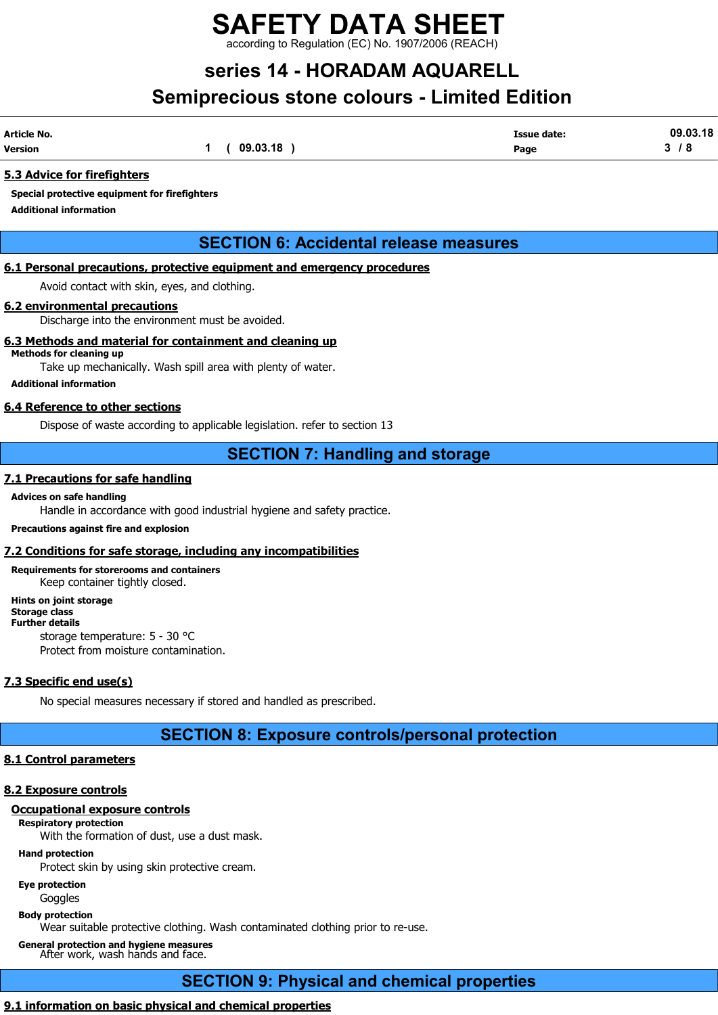rding to Regulation (EC) No. 1907/2006 (REACH)

# series 14 - HORADAM AQUARELL Semiprecious stone colours - Limited Edition

| Article No.    |          | Issue date: | 09.03.18 |
|----------------|----------|-------------|----------|
| <b>Version</b> | 09.03.18 | Page        | 8 '<br>- |

## 5.3 Advice for firefighters

Special protective equipment for firefighters

Additional information

## SECTION 6: Accidental release measures

## 6.1 Personal precautions, protective equipment and emergency procedures

Avoid contact with skin, eyes, and clothing.

## 6.2 environmental precautions

Discharge into the environment must be avoided.

## 6.3 Methods and material for containment and cleaning up

Methods for cleaning up Take up mechanically. Wash spill area with plenty of water.

#### Additional information

## 6.4 Reference to other sections

Dispose of waste according to applicable legislation. refer to section 13

## SECTION 7: Handling and storage

## 7.1 Precautions for safe handling

## Advices on safe handling

Handle in accordance with good industrial hygiene and safety practice.

## Precautions against fire and explosion

## 7.2 Conditions for safe storage, including any incompatibilities

Requirements for storerooms and containers Keep container tightly closed.

#### Hints on joint storage Storage class

Further details

storage temperature: 5 - 30 °C Protect from moisture contamination.

## 7.3 Specific end use(s)

No special measures necessary if stored and handled as prescribed.

## SECTION 8: Exposure controls/personal protection

## 8.1 Control parameters

## 8.2 Exposure controls

## Occupational exposure controls

## Respiratory protection

With the formation of dust, use a dust mask.

## Hand protection

Protect skin by using skin protective cream.

Eye protection

Goggles

## Body protection

Wear suitable protective clothing. Wash contaminated clothing prior to re-use.

General protection and hygiene measures After work, wash hands and face.

# SECTION 9: Physical and chemical properties

## 9.1 information on basic physical and chemical properties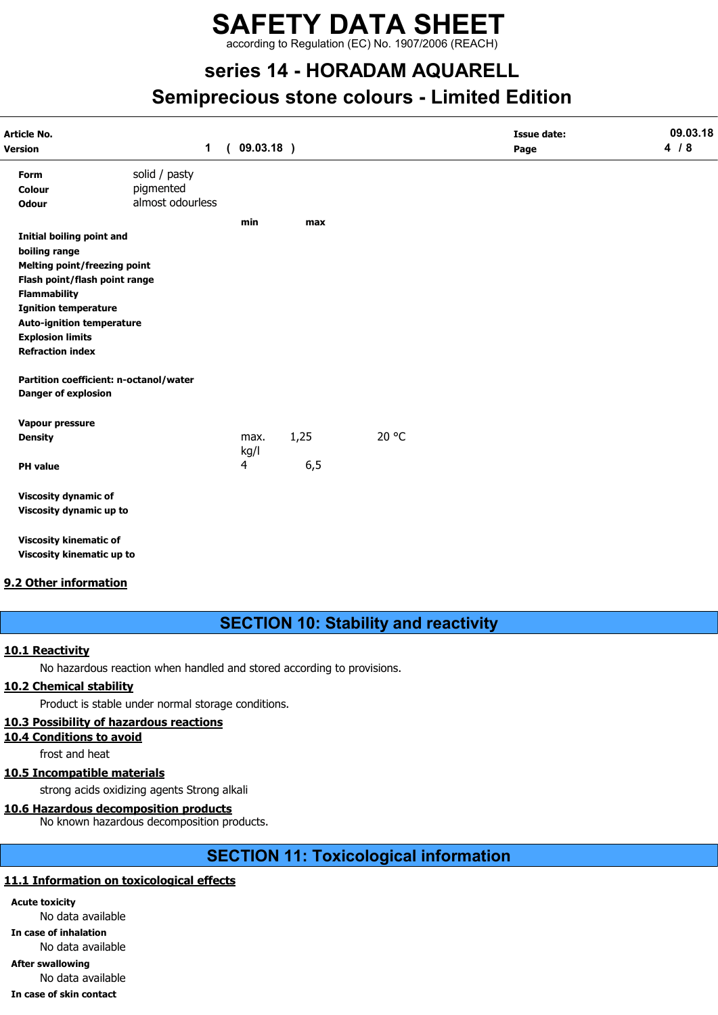according to Regulation (EC) No. 1907/2006 (REACH)

# series 14 - HORADAM AQUARELL Semiprecious stone colours - Limited Edition

| Article No.                         | $\mathbf 1$                            | 09.03.18)      |      |       | <b>Issue date:</b> | 09.03.18<br>4/8 |
|-------------------------------------|----------------------------------------|----------------|------|-------|--------------------|-----------------|
| Version                             |                                        | $\left($       |      |       | Page               |                 |
| Form                                | solid / pasty                          |                |      |       |                    |                 |
| Colour                              | pigmented                              |                |      |       |                    |                 |
| <b>Odour</b>                        | almost odourless                       |                |      |       |                    |                 |
|                                     |                                        | min            | max  |       |                    |                 |
| <b>Initial boiling point and</b>    |                                        |                |      |       |                    |                 |
| boiling range                       |                                        |                |      |       |                    |                 |
| <b>Melting point/freezing point</b> |                                        |                |      |       |                    |                 |
| Flash point/flash point range       |                                        |                |      |       |                    |                 |
| <b>Flammability</b>                 |                                        |                |      |       |                    |                 |
| <b>Ignition temperature</b>         |                                        |                |      |       |                    |                 |
| <b>Auto-ignition temperature</b>    |                                        |                |      |       |                    |                 |
| <b>Explosion limits</b>             |                                        |                |      |       |                    |                 |
| <b>Refraction index</b>             |                                        |                |      |       |                    |                 |
|                                     | Partition coefficient: n-octanol/water |                |      |       |                    |                 |
| <b>Danger of explosion</b>          |                                        |                |      |       |                    |                 |
| Vapour pressure                     |                                        |                |      |       |                    |                 |
| <b>Density</b>                      |                                        | max.           | 1,25 | 20 °C |                    |                 |
|                                     |                                        | kg/l           |      |       |                    |                 |
| <b>PH</b> value                     |                                        | $\overline{4}$ | 6, 5 |       |                    |                 |
| <b>Viscosity dynamic of</b>         |                                        |                |      |       |                    |                 |
| Viscosity dynamic up to             |                                        |                |      |       |                    |                 |
| <b>Viscosity kinematic of</b>       |                                        |                |      |       |                    |                 |
| Viscosity kinematic up to           |                                        |                |      |       |                    |                 |

## 9.2 Other information

## SECTION 10: Stability and reactivity

## 10.1 Reactivity

No hazardous reaction when handled and stored according to provisions.

## 10.2 Chemical stability

Product is stable under normal storage conditions.

## 10.3 Possibility of hazardous reactions

10.4 Conditions to avoid

frost and heat

## 10.5 Incompatible materials

strong acids oxidizing agents Strong alkali

## 10.6 Hazardous decomposition products

No known hazardous decomposition products.

## SECTION 11: Toxicological information

## 11.1 Information on toxicological effects

Acute toxicity No data available

In case of inhalation

No data available

After swallowing

No data available

#### In case of skin contact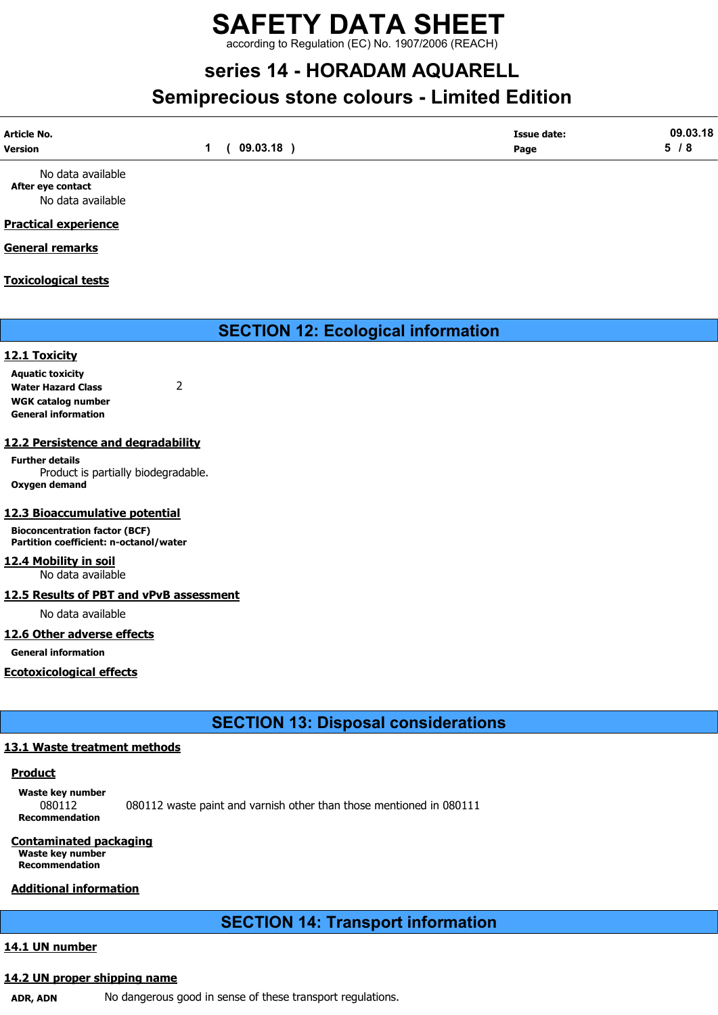according to Regulation (EC) No. 1907/2006 (REACH)

# series 14 - HORADAM AQUARELL Semiprecious stone colours - Limited Edition

| Article No.       | 09.03.18 | <b>Issue date:</b> | 09.03.18 |
|-------------------|----------|--------------------|----------|
| Version           |          | Page               | 5/8      |
| No data available |          |                    |          |

After eye contact No data available

## Practical experience

## General remarks

## Toxicological tests

SECTION 12: Ecological information

## 12.1 Toxicity

Aquatic toxicity Water Hazard Class 2 WGK catalog number General information

## 12.2 Persistence and degradability

Further details Product is partially biodegradable. Oxygen demand

## 12.3 Bioaccumulative potential

Bioconcentration factor (BCF) Partition coefficient: n-octanol/water

## 12.4 Mobility in soil

No data available

## 12.5 Results of PBT and vPvB assessment

No data available

## 12.6 Other adverse effects

General information

Ecotoxicological effects

## SECTION 13: Disposal considerations

## 13.1 Waste treatment methods

## **Product**

Waste key number 080112 080112 waste paint and varnish other than those mentioned in 080111 Recommendation

## Contaminated packaging

Waste key number Recommendation

## Additional information

## SECTION 14: Transport information

## 14.1 UN number

## 14.2 UN proper shipping name

ADR, ADN No dangerous good in sense of these transport regulations.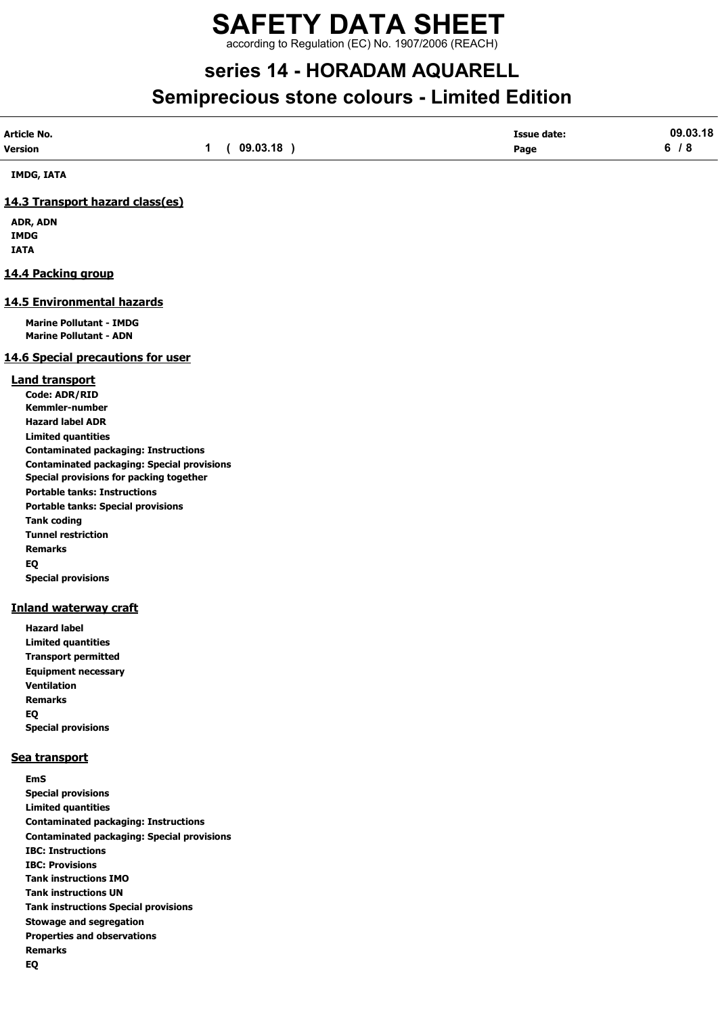according to Regulation (EC) No. 1907/2006 (REACH)

# series 14 - HORADAM AQUARELL Semiprecious stone colours - Limited Edition

| Article No.                                                                                  |                           | <b>Issue date:</b> | 09.03.18 |
|----------------------------------------------------------------------------------------------|---------------------------|--------------------|----------|
| Version                                                                                      | $\mathbf 1$<br>(09.03.18) | Page               | 6/8      |
| IMDG, IATA                                                                                   |                           |                    |          |
| 14.3 Transport hazard class(es)                                                              |                           |                    |          |
| ADR, ADN                                                                                     |                           |                    |          |
| <b>IMDG</b>                                                                                  |                           |                    |          |
| <b>IATA</b>                                                                                  |                           |                    |          |
| 14.4 Packing group                                                                           |                           |                    |          |
| 14.5 Environmental hazards                                                                   |                           |                    |          |
| <b>Marine Pollutant - IMDG</b>                                                               |                           |                    |          |
| <b>Marine Pollutant - ADN</b>                                                                |                           |                    |          |
| <b>14.6 Special precautions for user</b>                                                     |                           |                    |          |
| <b>Land transport</b>                                                                        |                           |                    |          |
| Code: ADR/RID                                                                                |                           |                    |          |
| Kemmler-number                                                                               |                           |                    |          |
| <b>Hazard label ADR</b>                                                                      |                           |                    |          |
| <b>Limited quantities</b>                                                                    |                           |                    |          |
| <b>Contaminated packaging: Instructions</b>                                                  |                           |                    |          |
| <b>Contaminated packaging: Special provisions</b><br>Special provisions for packing together |                           |                    |          |
| <b>Portable tanks: Instructions</b>                                                          |                           |                    |          |
| <b>Portable tanks: Special provisions</b>                                                    |                           |                    |          |
| <b>Tank coding</b>                                                                           |                           |                    |          |
| <b>Tunnel restriction</b>                                                                    |                           |                    |          |
| <b>Remarks</b>                                                                               |                           |                    |          |
| EQ                                                                                           |                           |                    |          |
| <b>Special provisions</b>                                                                    |                           |                    |          |
| <b>Inland waterway craft</b>                                                                 |                           |                    |          |
| <b>Hazard label</b>                                                                          |                           |                    |          |
| <b>Limited quantities</b>                                                                    |                           |                    |          |
| <b>Transport permitted</b>                                                                   |                           |                    |          |
| <b>Equipment necessary</b>                                                                   |                           |                    |          |
| <b>Ventilation</b>                                                                           |                           |                    |          |
| <b>Remarks</b>                                                                               |                           |                    |          |
| EQ                                                                                           |                           |                    |          |
| <b>Special provisions</b>                                                                    |                           |                    |          |
| Sea transport                                                                                |                           |                    |          |
| <b>EmS</b>                                                                                   |                           |                    |          |
| <b>Special provisions</b>                                                                    |                           |                    |          |
| <b>Limited quantities</b>                                                                    |                           |                    |          |
| <b>Contaminated packaging: Instructions</b>                                                  |                           |                    |          |
| <b>Contaminated packaging: Special provisions</b>                                            |                           |                    |          |
| <b>IBC: Instructions</b>                                                                     |                           |                    |          |
| <b>IBC: Provisions</b><br><b>Tank instructions IMO</b>                                       |                           |                    |          |
|                                                                                              |                           |                    |          |

- Tank instructions UN
- Tank instructions Special provisions
- Stowage and segregation
- Properties and observations
- Remarks
- EQ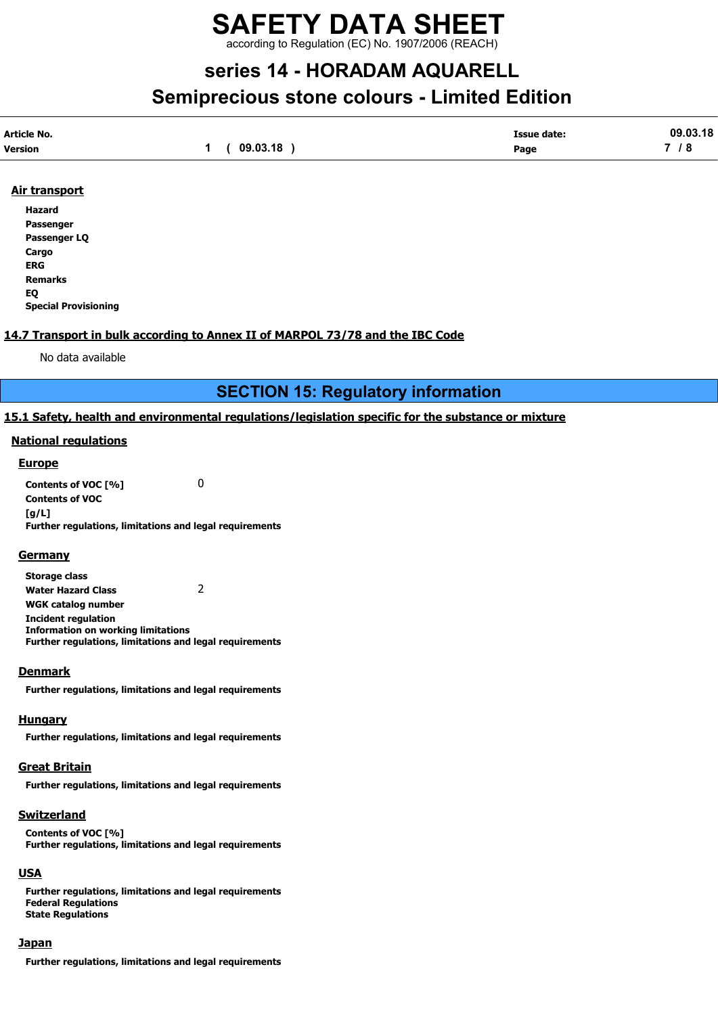## SAFETY DATA SHEET according to Regulation (EC) No. 1907/2006 (REACH)

# series 14 - HORADAM AQUARELL Semiprecious stone colours - Limited Edition

| Article No.    |          | <b>Issue date:</b> | 09.03.18 |
|----------------|----------|--------------------|----------|
| <b>Version</b> | 09.03.18 | Page               | -<br>. . |

## Air transport

Hazard Passenger Passenger LQ Cargo ERG Remarks EQ Special Provisioning

## 14.7 Transport in bulk according to Annex II of MARPOL 73/78 and the IBC Code

No data available

## SECTION 15: Regulatory information

## 15.1 Safety, health and environmental regulations/legislation specific for the substance or mixture

#### National regulations

#### **Europe**

Contents of VOC [%] 0 Contents of VOC  $[a/L]$ Further regulations, limitations and legal requirements

#### **Germany**

Storage class Water Hazard Class 2 WGK catalog number Incident regulation Information on working limitations Further regulations, limitations and legal requirements

#### **Denmark**

Further regulations, limitations and legal requirements

#### Hungary

Further regulations, limitations and legal requirements

## **Great Britain**

Further regulations, limitations and legal requirements

## Switzerland

Contents of VOC [%] Further regulations, limitations and legal requirements

## **USA**

Further regulations, limitations and legal requirements Federal Regulations State Regulations

#### **Japan**

Further regulations, limitations and legal requirements